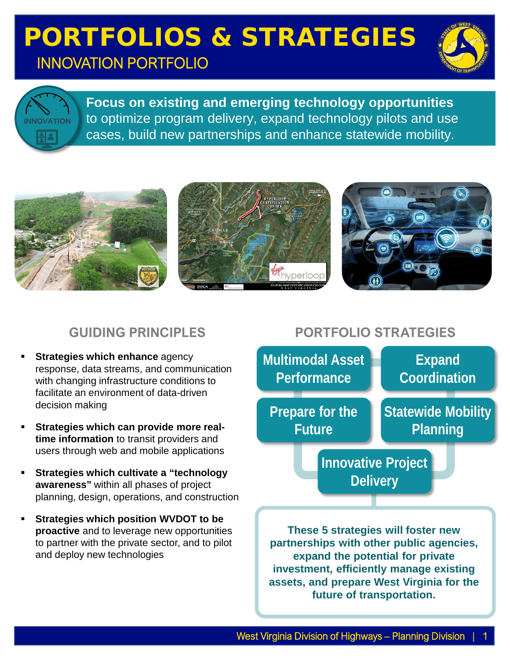# PORTFOLIOS & STRATEGIES INNOVATION PORTFOLIO



**INNOVATION** $A$ 

**Focus on existing and emerging technology opportunities**  to optimize program delivery, expand technology pilots and use cases, build new partnerships and enhance statewide mobility.



## **GUIDING PRINCIPLES**

- **Strategies which enhance** agency response, data streams, and communication with changing infrastructure conditions to facilitate an environment of data-driven decision making
- **Strategies which can provide more realtime information** to transit providers and users through web and mobile applications
- **Strategies which cultivate a "technology awareness"** within all phases of project planning, design, operations, and construction
- **Strategies which position WVDOT to be proactive** and to leverage new opportunities to partner with the private sector, and to pilot and deploy new technologies

## **PORTFOLIO STRATEGIES**



**expand the potential for private investment, efficiently manage existing assets, and prepare West Virginia for the future of transportation.**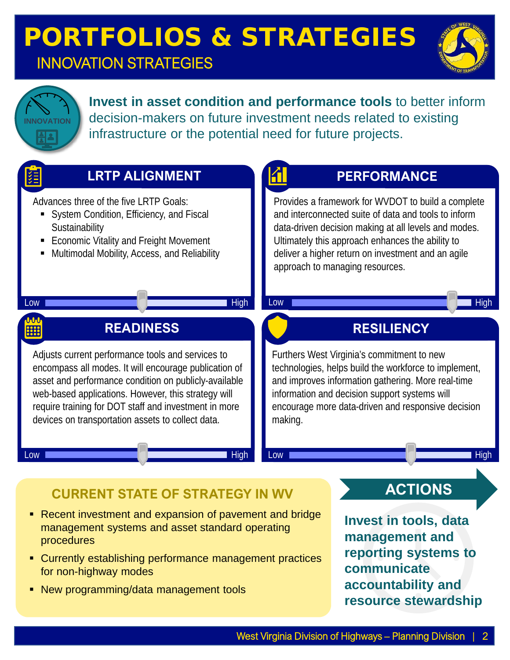# PORTFOLIOS & STRATEGIES INNOVATION STRATEGIES





**Invest in asset condition and performance tools** to better inform decision-makers on future investment needs related to existing infrastructure or the potential need for future projects.

| <b>LRTP ALIGNMENT</b>                                                                                                                                                                                                                                                                                                                    | <b>PERFORMANCE</b>                                                                                                                                                                                                                                                                                              |
|------------------------------------------------------------------------------------------------------------------------------------------------------------------------------------------------------------------------------------------------------------------------------------------------------------------------------------------|-----------------------------------------------------------------------------------------------------------------------------------------------------------------------------------------------------------------------------------------------------------------------------------------------------------------|
| Advances three of the five LRTP Goals:<br>System Condition, Efficiency, and Fiscal<br>Sustainability<br>Economic Vitality and Freight Movement<br>Multimodal Mobility, Access, and Reliability                                                                                                                                           | Provides a framework for WVDOT to build a complete<br>and interconnected suite of data and tools to inform<br>data-driven decision making at all levels and modes.<br>Ultimately this approach enhances the ability to<br>deliver a higher return on investment and an agile<br>approach to managing resources. |
| <b>High</b><br>Low                                                                                                                                                                                                                                                                                                                       | High<br>Low                                                                                                                                                                                                                                                                                                     |
| <b>READINESS</b><br>開                                                                                                                                                                                                                                                                                                                    | <b>RESILIENCY</b>                                                                                                                                                                                                                                                                                               |
| Adjusts current performance tools and services to<br>encompass all modes. It will encourage publication of<br>asset and performance condition on publicly-available<br>web-based applications. However, this strategy will<br>require training for DOT staff and investment in more<br>devices on transportation assets to collect data. | Furthers West Virginia's commitment to new<br>technologies, helps build the workforce to implement,<br>and improves information gathering. More real-time<br>information and decision support systems will<br>encourage more data-driven and responsive decision<br>making.                                     |
| High<br>Low                                                                                                                                                                                                                                                                                                                              | Low<br><b>High</b>                                                                                                                                                                                                                                                                                              |
| <b>CURRENT STATE OF STRATEGY IN WV</b>                                                                                                                                                                                                                                                                                                   | <b>ACTIONS</b>                                                                                                                                                                                                                                                                                                  |
| Recent investment and expansion of pavement and bridge<br>management systems and asset standard operating<br>procedures<br>Currently octoblishing performance management program                                                                                                                                                         | <b>Invest in tools, data</b><br>management and<br>reporting systems to                                                                                                                                                                                                                                          |

- Currently establishing performance management practices for non-highway modes
- New programming/data management tools

West Virginia Division of Highways - Planning Division

**communicate** 

**accountability and** 

**resource stewardship**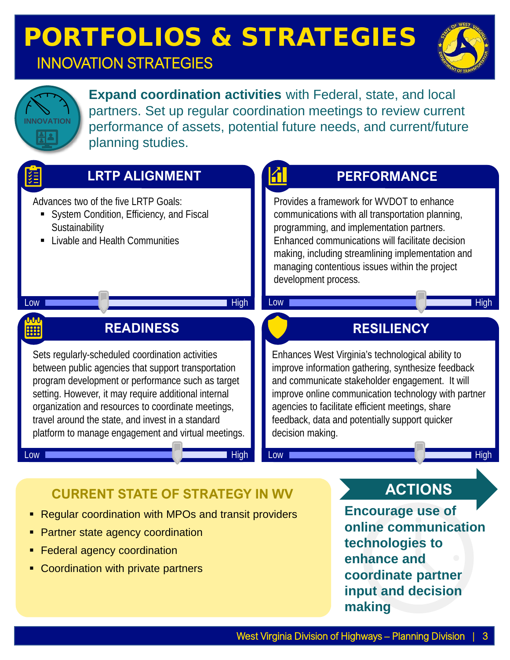# PORTFOLIOS & STRATEGIES

## INNOVATION STRATEGIES





**Expand coordination activities** with Federal, state, and local partners. Set up regular coordination meetings to review current performance of assets, potential future needs, and current/future planning studies.



- **Partner state agency coordination**
- Federal agency coordination
- Coordination with private partners

**online communication technologies to enhance and coordinate partner input and decision making**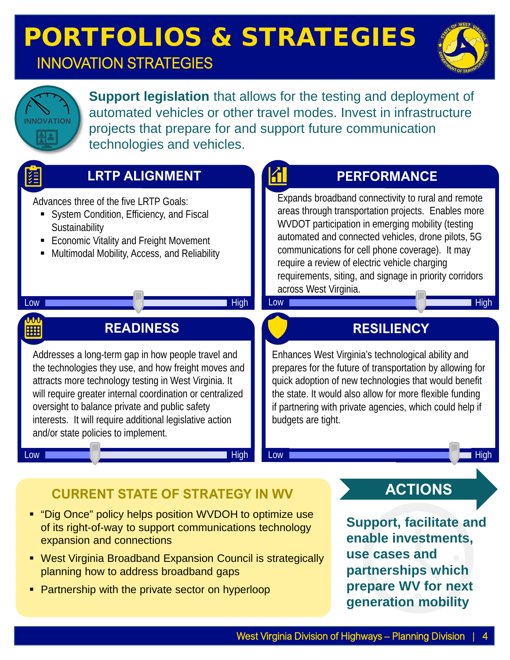# PORTFOLIOS & STRATEGIES

# INNOVATION STRATEGIES





**Support legislation** that allows for the testing and deployment of automated vehicles or other travel modes. Invest in infrastructure projects that prepare for and support future communication technologies and vehicles.

| <b>LRTP ALIGNMENT</b>                                                                                                                                                                                                                                                                                                                                                                 | <b>PERFORMANCE</b>                                                                                                                                                                                                                                                                                                                                                                                                                 |
|---------------------------------------------------------------------------------------------------------------------------------------------------------------------------------------------------------------------------------------------------------------------------------------------------------------------------------------------------------------------------------------|------------------------------------------------------------------------------------------------------------------------------------------------------------------------------------------------------------------------------------------------------------------------------------------------------------------------------------------------------------------------------------------------------------------------------------|
| Advances three of the five LRTP Goals:<br>System Condition, Efficiency, and Fiscal<br>Sustainability<br><b>Economic Vitality and Freight Movement</b><br>Multimodal Mobility, Access, and Reliability<br><b>High</b><br>Low                                                                                                                                                           | Expands broadband connectivity to rural and remote<br>areas through transportation projects. Enables more<br>WVDOT participation in emerging mobility (testing<br>automated and connected vehicles, drone pilots, 5G<br>communications for cell phone coverage). It may<br>require a review of electric vehicle charging<br>requirements, siting, and signage in priority corridors<br>across West Virginia.<br><b>High</b><br>Low |
| <b>July</b><br><b>READINESS</b><br><b>HH</b>                                                                                                                                                                                                                                                                                                                                          | <b>RESILIENCY</b>                                                                                                                                                                                                                                                                                                                                                                                                                  |
| Addresses a long-term gap in how people travel and<br>the technologies they use, and how freight moves and<br>attracts more technology testing in West Virginia. It<br>will require greater internal coordination or centralized<br>oversight to balance private and public safety<br>interests. It will require additional legislative action<br>and/or state policies to implement. | Enhances West Virginia's technological ability and<br>prepares for the future of transportation by allowing for<br>quick adoption of new technologies that would benefit<br>the state. It would also allow for more flexible funding<br>if partnering with private agencies, which could help if<br>budgets are tight.                                                                                                             |
| <b>High</b><br>Low -                                                                                                                                                                                                                                                                                                                                                                  | Low<br>High                                                                                                                                                                                                                                                                                                                                                                                                                        |
| <b>CURRENT STATE OF STRATEGY IN WV</b>                                                                                                                                                                                                                                                                                                                                                | <b>ACTIONS</b>                                                                                                                                                                                                                                                                                                                                                                                                                     |
| • "Dig Once" policy helps position WVDOH to optimize use<br>of its right-of-way to support communications technology<br>expansion and connections<br>West Virginia Broadband Expansion Council is strategically                                                                                                                                                                       | <b>Support, facilitate and</b><br>enable investments,<br>use cases and                                                                                                                                                                                                                                                                                                                                                             |

- West Virginia Broadband Expansion Council is strategically planning how to address broadband gaps
- **Partnership with the private sector on hyperloop**

**partnerships which prepare WV for next** 

**generation mobility**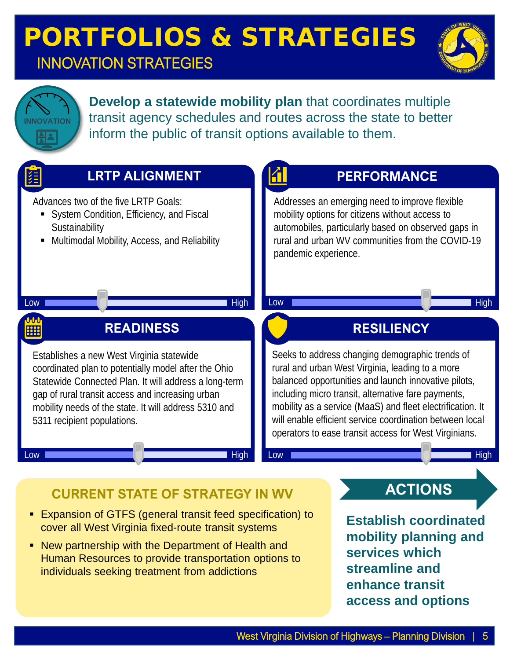# PORTFOLIOS & STRATEGIES INNOVATION STRATEGIES



**Develop a statewide mobility plan** that coordinates multiple transit agency schedules and routes across the state to better inform the public of transit options available to them.



• New partnership with the Department of Health and Human Resources to provide transportation options to individuals seeking treatment from addictions

West Virginia Division of Highways - Planning Division

**services which streamline and** 

**enhance transit** 

**access and options**